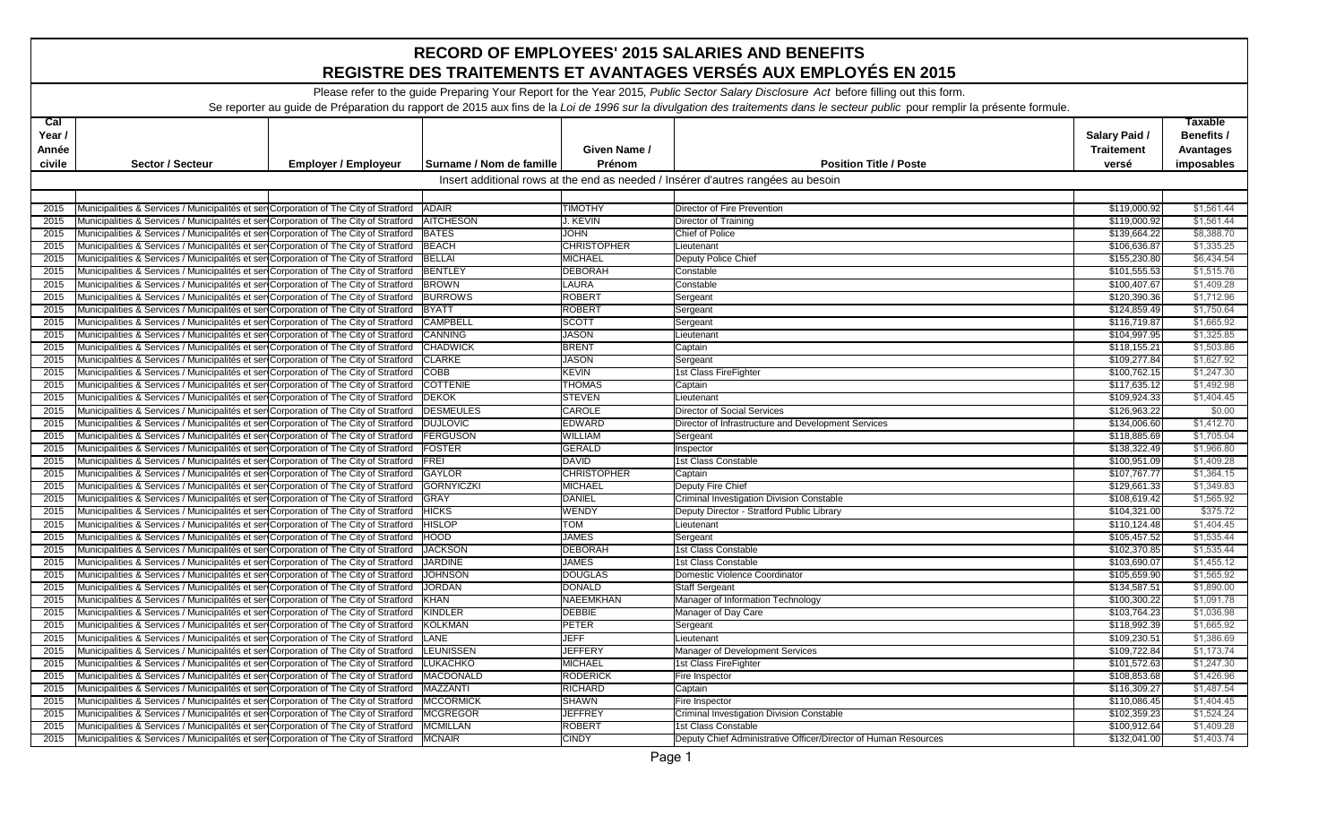| <b>RECORD OF EMPLOYEES' 2015 SALARIES AND BENEFITS</b><br>REGISTRE DES TRAITEMENTS ET AVANTAGES VERSÉS AUX EMPLOYÉS EN 2015                                                   |                                                                                                   |                             |                          |                    |                                                                                  |                                    |                                                  |  |
|-------------------------------------------------------------------------------------------------------------------------------------------------------------------------------|---------------------------------------------------------------------------------------------------|-----------------------------|--------------------------|--------------------|----------------------------------------------------------------------------------|------------------------------------|--------------------------------------------------|--|
| Please refer to the guide Preparing Your Report for the Year 2015, Public Sector Salary Disclosure Act before filling out this form.                                          |                                                                                                   |                             |                          |                    |                                                                                  |                                    |                                                  |  |
| Se reporter au guide de Préparation du rapport de 2015 aux fins de la Loi de 1996 sur la divulgation des traitements dans le secteur public pour remplir la présente formule. |                                                                                                   |                             |                          |                    |                                                                                  |                                    |                                                  |  |
| $ca$<br>Year /<br>Année                                                                                                                                                       |                                                                                                   |                             |                          | Given Name /       |                                                                                  | Salary Paid /<br><b>Traitement</b> | <b>Taxable</b><br>Benefits /<br><b>Avantages</b> |  |
| civile                                                                                                                                                                        | Sector / Secteur                                                                                  | <b>Employer / Employeur</b> | Surname / Nom de famille | Prénom             | <b>Position Title / Poste</b>                                                    | versé                              | imposables                                       |  |
|                                                                                                                                                                               |                                                                                                   |                             |                          |                    | Insert additional rows at the end as needed / Insérer d'autres rangées au besoin |                                    |                                                  |  |
|                                                                                                                                                                               |                                                                                                   |                             |                          |                    |                                                                                  |                                    |                                                  |  |
| 2015                                                                                                                                                                          | Municipalities & Services / Municipalités et sen Corporation of The City of Stratford ADAIR       |                             |                          | <b>TIMOTHY</b>     | Director of Fire Prevention                                                      | \$119,000.92                       | \$1,561.44                                       |  |
| 2015                                                                                                                                                                          | Municipalities & Services / Municipalités et ser Corporation of The City of Stratford             |                             | <b>AITCHESON</b>         | J. KEVIN           | Director of Training                                                             | \$119.000.92                       | \$1,561.44                                       |  |
| 2015                                                                                                                                                                          | Municipalities & Services / Municipalités et ser Corporation of The City of Stratford             |                             | <b>BATES</b>             | <b>JOHN</b>        | Chief of Police                                                                  | \$139,664.22                       | \$8,388.70                                       |  |
| 2015                                                                                                                                                                          | Municipalities & Services / Municipalités et ser Corporation of The City of Stratford             |                             | <b>BEACH</b>             | <b>CHRISTOPHER</b> | Lieutenant                                                                       | \$106,636.87                       | \$1,335.25                                       |  |
| 2015                                                                                                                                                                          | Municipalities & Services / Municipalités et ser Corporation of The City of Stratford   BELLAI    |                             |                          | <b>MICHAEL</b>     | Deputy Police Chief                                                              | \$155,230.80                       | \$6,434.54                                       |  |
| 2015                                                                                                                                                                          | Municipalities & Services / Municipalités et ser Corporation of The City of Stratford BENTLEY     |                             |                          | <b>DEBORAH</b>     | Constable                                                                        | \$101,555.53                       | \$1,515.76                                       |  |
| 2015                                                                                                                                                                          | Municipalities & Services / Municipalités et sen Corporation of The City of Stratford   BROWN     |                             |                          | LAURA              | Constable                                                                        | \$100,407.67                       | \$1,409.28                                       |  |
| 2015                                                                                                                                                                          | Municipalities & Services / Municipalités et ser Corporation of The City of Stratford             |                             | <b>BURROWS</b>           | <b>ROBERT</b>      | Sergeant                                                                         | \$120,390.36                       | \$1,712.96                                       |  |
| 2015                                                                                                                                                                          | Municipalities & Services / Municipalités et sen Corporation of The City of Stratford   BYATT     |                             |                          | <b>ROBERT</b>      | Sergeant                                                                         | \$124,859.49                       | \$1,750.64                                       |  |
| 2015                                                                                                                                                                          | Municipalities & Services / Municipalités et ser Corporation of The City of Stratford             |                             | <b>CAMPBELL</b>          | <b>SCOTT</b>       | Sergeant                                                                         | \$116,719.87                       | \$1,665.92                                       |  |
| 2015                                                                                                                                                                          | Municipalities & Services / Municipalités et ser Corporation of The City of Stratford             |                             | CANNING                  | <b>JASON</b>       | Lieutenant                                                                       | \$104,997.95                       | \$1,325.85                                       |  |
| 2015                                                                                                                                                                          | Municipalities & Services / Municipalités et ser Corporation of The City of Stratford CHADWICK    |                             |                          | <b>BRENT</b>       | Captain                                                                          | \$118,155.21                       | \$1,503.86                                       |  |
| 2015                                                                                                                                                                          | Municipalities & Services / Municipalités et ser Corporation of The City of Stratford CLARKE      |                             |                          | <b>JASON</b>       | Sergeant                                                                         | \$109,277.84                       | \$1,627.92                                       |  |
| 2015                                                                                                                                                                          | Municipalities & Services / Municipalités et sen Corporation of The City of Stratford COBB        |                             |                          | <b>KEVIN</b>       | 1st Class FireFighter                                                            | \$100,762.15                       | \$1,247.30                                       |  |
| 2015                                                                                                                                                                          | Municipalities & Services / Municipalités et sen Corporation of The City of Stratford             |                             | <b>COTTENIE</b>          | <b>THOMAS</b>      | Captain                                                                          | \$117,635.12                       | \$1,492.98                                       |  |
| 2015                                                                                                                                                                          | Municipalities & Services / Municipalités et sen Corporation of The City of Stratford   DEKOK     |                             |                          | <b>STEVEN</b>      | Lieutenant                                                                       | \$109,924.33                       | \$1,404.45                                       |  |
| 2015                                                                                                                                                                          | Municipalities & Services / Municipalités et sen Corporation of The City of Stratford             |                             | <b>DESMEULES</b>         | <b>CAROLE</b>      | <b>Director of Social Services</b>                                               | \$126.963.22                       | \$0.00                                           |  |
| 2015                                                                                                                                                                          | Municipalities & Services / Municipalités et ser Corporation of The City of Stratford   DUJLOVIC  |                             |                          | <b>EDWARD</b>      | Director of Infrastructure and Development Services                              | \$134,006.60                       | \$1,412.70                                       |  |
| 2015                                                                                                                                                                          | Municipalities & Services / Municipalités et ser Corporation of The City of Stratford FERGUSON    |                             |                          | <b>WILLIAM</b>     | Sergeant                                                                         | \$118,885.69                       | \$1,705.04                                       |  |
| 2015                                                                                                                                                                          | Municipalities & Services / Municipalités et ser Corporation of The City of Stratford FOSTER      |                             |                          | <b>GERALD</b>      | Inspector                                                                        | \$138,322.49                       | \$1,966.80                                       |  |
| 2015                                                                                                                                                                          | Municipalities & Services / Municipalités et ser Corporation of The City of Stratford             |                             | FREI                     | <b>DAVID</b>       | 1st Class Constable                                                              | \$100,951.09                       | \$1,409.28                                       |  |
| 2015                                                                                                                                                                          | Municipalities & Services / Municipalités et sen Corporation of The City of Stratford             |                             | <b>GAYLOR</b>            | <b>CHRISTOPHER</b> | Captain                                                                          | \$107,767.77                       | \$1,364.15                                       |  |
| 2015                                                                                                                                                                          | Municipalities & Services / Municipalités et ser Corporation of The City of Stratford             |                             | <b>GORNYICZKI</b>        | <b>MICHAEL</b>     | Deputy Fire Chief                                                                | \$129,661.33                       | \$1,349.83                                       |  |
| 2015                                                                                                                                                                          | Municipalities & Services / Municipalités et sen Corporation of The City of Stratford   GRAY      |                             |                          | <b>DANIEL</b>      | Criminal Investigation Division Constable                                        | \$108,619.42                       | \$1,565.92                                       |  |
| 2015                                                                                                                                                                          | Municipalities & Services / Municipalités et ser Corporation of The City of Stratford   HICKS     |                             |                          | <b>WENDY</b>       | Deputy Director - Stratford Public Library                                       | \$104,321.00                       | \$375.72                                         |  |
| 2015                                                                                                                                                                          | Municipalities & Services / Municipalités et ser Corporation of The City of Stratford             |                             | <b>HISLOP</b>            | <b>TOM</b>         | Lieutenant                                                                       | \$110,124.48                       | \$1,404.45                                       |  |
| 2015                                                                                                                                                                          | Municipalities & Services / Municipalités et sen Corporation of The City of Stratford             |                             | HOOD                     | <b>JAMES</b>       | Sergeant                                                                         | \$105,457.52                       | \$1,535.44                                       |  |
| 2015                                                                                                                                                                          | Municipalities & Services / Municipalités et sen Corporation of The City of Stratford             |                             | <b>JACKSON</b>           | <b>DEBORAH</b>     | 1st Class Constable                                                              | \$102,370.85                       | \$1,535.44                                       |  |
| 2015                                                                                                                                                                          | Municipalities & Services / Municipalités et ser Corporation of The City of Stratford             |                             | <b>JARDINE</b>           | <b>JAMES</b>       | 1st Class Constable                                                              | \$103,690.07                       | \$1,455.12                                       |  |
| 2015                                                                                                                                                                          | Municipalities & Services / Municipalités et ser Corporation of The City of Stratford JJOHNSON    |                             |                          | <b>DOUGLAS</b>     | Domestic Violence Coordinator                                                    | \$105,659.90                       | \$1,565.92                                       |  |
| 2015                                                                                                                                                                          | Municipalities & Services / Municipalités et ser Corporation of The City of Stratford JORDAN      |                             |                          | <b>DONALD</b>      | <b>Staff Sergeant</b>                                                            | \$134,587.51                       | \$1,890.00                                       |  |
| 2015                                                                                                                                                                          | Municipalities & Services / Municipalités et sen Corporation of The City of Stratford   KHAN      |                             |                          | NAEEMKHAN          | Manager of Information Technology                                                | \$100,300.22                       | \$1,091.78                                       |  |
| 2015                                                                                                                                                                          | Municipalities & Services / Municipalités et ser Corporation of The City of Stratford             |                             | <b>KINDLER</b>           | <b>DEBBIE</b>      | Manager of Day Care                                                              | \$103,764.23                       | \$1,036.98                                       |  |
| 2015                                                                                                                                                                          | Municipalities & Services / Municipalités et sen Corporation of The City of Stratford KOLKMAN     |                             |                          | <b>PETER</b>       | Sergeant                                                                         | \$118,992.39                       | \$1,665.92                                       |  |
|                                                                                                                                                                               | 2015 Municipalities & Services / Municipalités et ser Corporation of The City of Stratford LANE   |                             |                          | <b>JEFF</b>        | Lieutenant                                                                       | \$109,230.51                       | \$1,386.69                                       |  |
| 2015                                                                                                                                                                          | Municipalities & Services / Municipalités et ser Corporation of The City of Stratford LEUNISSEN   |                             |                          | <b>JEFFERY</b>     | Manager of Development Services                                                  | \$109,722.84                       | \$1,173.74                                       |  |
| 2015                                                                                                                                                                          | Municipalities & Services / Municipalités et ser Corporation of The City of Stratford LUKACHKO    |                             |                          | <b>MICHAEL</b>     | 1st Class FireFighter                                                            | \$101,572.63                       | \$1,247.30                                       |  |
| 2015                                                                                                                                                                          | Municipalities & Services / Municipalités et ser Corporation of The City of Stratford MACDONALD   |                             |                          | <b>RODERICK</b>    | Fire Inspector                                                                   | \$108,853.68                       | \$1,426.96                                       |  |
| 2015                                                                                                                                                                          | Municipalities & Services / Municipalités et ser Corporation of The City of Stratford   MAZZANTI  |                             |                          | RICHARD            | Captain                                                                          | \$116,309.27                       | \$1,487.54                                       |  |
| 2015                                                                                                                                                                          | Municipalities & Services / Municipalités et ser Corporation of The City of Stratford   MCCORMICK |                             |                          | SHAWN              | Fire Inspector                                                                   | \$110,086.45                       | \$1,404.45                                       |  |
| 2015                                                                                                                                                                          | Municipalities & Services / Municipalités et ser Corporation of The City of Stratford MCGREGOR    |                             |                          | <b>JEFFREY</b>     | Criminal Investigation Division Constable                                        | \$102,359.23                       | \$1,524.24                                       |  |
| 2015                                                                                                                                                                          | Municipalities & Services / Municipalités et ser Corporation of The City of Stratford   MCMILLAN  |                             |                          | <b>ROBERT</b>      | 1st Class Constable                                                              | \$100,912.64                       | \$1,409.28                                       |  |
| 2015                                                                                                                                                                          | Municipalities & Services / Municipalités et ser Corporation of The City of Stratford MCNAIR      |                             |                          | <b>CINDY</b>       | Deputy Chief Administrative Officer/Director of Human Resources                  | \$132,041.00                       | \$1,403.74                                       |  |
|                                                                                                                                                                               |                                                                                                   |                             |                          |                    |                                                                                  |                                    |                                                  |  |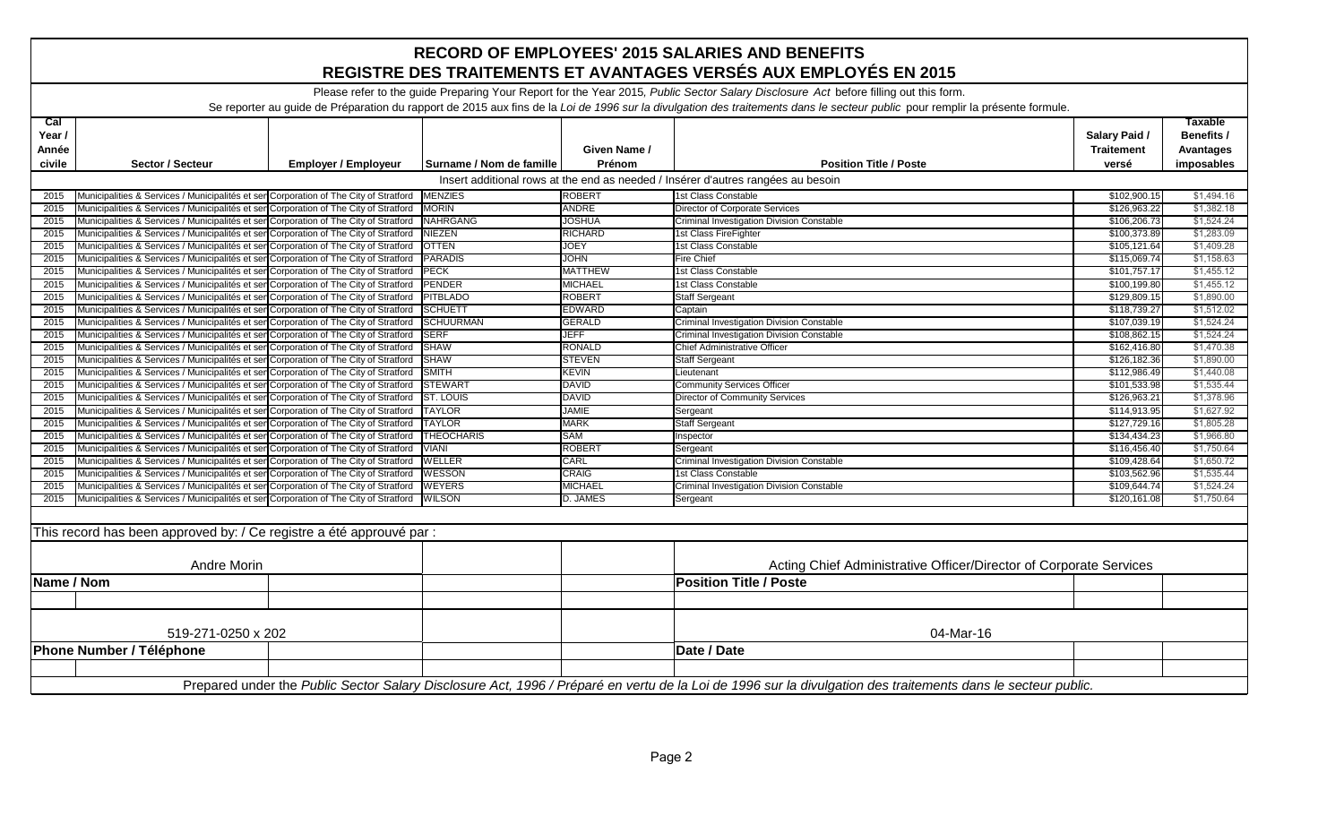| <b>RECORD OF EMPLOYEES' 2015 SALARIES AND BENEFITS</b><br>REGISTRE DES TRAITEMENTS ET AVANTAGES VERSÉS AUX EMPLOYÉS EN 2015                                                                                                                                                                                           |                                                                                                                                                                               |                             |                          |                        |                                                                    |                                             |                                                                |  |  |  |
|-----------------------------------------------------------------------------------------------------------------------------------------------------------------------------------------------------------------------------------------------------------------------------------------------------------------------|-------------------------------------------------------------------------------------------------------------------------------------------------------------------------------|-----------------------------|--------------------------|------------------------|--------------------------------------------------------------------|---------------------------------------------|----------------------------------------------------------------|--|--|--|
| Please refer to the guide Preparing Your Report for the Year 2015, Public Sector Salary Disclosure Act before filling out this form.<br>Se reporter au guide de Préparation du rapport de 2015 aux fins de la Loi de 1996 sur la divulgation des traitements dans le secteur public pour remplir la présente formule. |                                                                                                                                                                               |                             |                          |                        |                                                                    |                                             |                                                                |  |  |  |
| caI<br>Year /<br>Année<br>civile                                                                                                                                                                                                                                                                                      | Sector / Secteur                                                                                                                                                              | <b>Employer / Employeur</b> | Surname / Nom de famille | Given Name /<br>Prénom | <b>Position Title / Poste</b>                                      | Salary Paid /<br><b>Traitement</b><br>versé | <b>Taxable</b><br>Benefits /<br><b>Avantages</b><br>imposables |  |  |  |
| Insert additional rows at the end as needed / Insérer d'autres rangées au besoin                                                                                                                                                                                                                                      |                                                                                                                                                                               |                             |                          |                        |                                                                    |                                             |                                                                |  |  |  |
| 2015                                                                                                                                                                                                                                                                                                                  | Municipalities & Services / Municipalités et ser Corporation of The City of Stratford<br><b>MENZIES</b><br><b>ROBERT</b><br>1st Class Constable<br>\$102,900.15<br>\$1,494.16 |                             |                          |                        |                                                                    |                                             |                                                                |  |  |  |
| 2015                                                                                                                                                                                                                                                                                                                  | Municipalities & Services / Municipalités et sen Corporation of The City of Stratford                                                                                         |                             | <b>MORIN</b>             | <b>ANDRE</b>           | Director of Corporate Services                                     | \$126,963.22                                | \$1,382.18                                                     |  |  |  |
| 2015                                                                                                                                                                                                                                                                                                                  | Municipalities & Services / Municipalités et ser Corporation of The City of Stratford NAHRGANG                                                                                |                             |                          | <b>JOSHUA</b>          | Criminal Investigation Division Constable                          | \$106,206.73                                | \$1,524.24                                                     |  |  |  |
| 2015                                                                                                                                                                                                                                                                                                                  | Municipalities & Services / Municipalités et ser Corporation of The City of Stratford                                                                                         |                             | <b>NIEZEN</b>            | <b>RICHARD</b>         | 1st Class FireFighter                                              | \$100,373.89                                | \$1,283.09                                                     |  |  |  |
| 2015                                                                                                                                                                                                                                                                                                                  | Municipalities & Services / Municipalités et ser Corporation of The City of Stratford   OTTEN                                                                                 |                             |                          | <b>JOEY</b>            | 1st Class Constable                                                | \$105,121.64                                | \$1,409.28                                                     |  |  |  |
| 2015                                                                                                                                                                                                                                                                                                                  | Municipalities & Services / Municipalités et ser Corporation of The City of Stratford                                                                                         |                             | <b>PARADIS</b>           | <b>JOHN</b>            | Fire Chief                                                         | \$115,069.74                                | \$1,158.63                                                     |  |  |  |
| 2015                                                                                                                                                                                                                                                                                                                  | Municipalities & Services / Municipalités et ser Corporation of The City of Stratford                                                                                         |                             | <b>PECK</b>              | <b>MATTHEW</b>         | 1st Class Constable                                                | \$101,757.17                                | \$1,455.12                                                     |  |  |  |
| 2015                                                                                                                                                                                                                                                                                                                  | Municipalities & Services / Municipalités et sen Corporation of The City of Stratford                                                                                         |                             | <b>PENDER</b>            | <b>MICHAEL</b>         | 1st Class Constable                                                | \$100,199.80                                | \$1,455.12                                                     |  |  |  |
| 2015                                                                                                                                                                                                                                                                                                                  | Municipalities & Services / Municipalités et ser Corporation of The City of Stratford                                                                                         |                             | <b>PITBLADO</b>          | <b>ROBERT</b>          | <b>Staff Sergeant</b>                                              | \$129,809.15                                | \$1,890.00                                                     |  |  |  |
| 2015                                                                                                                                                                                                                                                                                                                  | Municipalities & Services / Municipalités et ser Corporation of The City of Stratford                                                                                         |                             | <b>SCHUETT</b>           | <b>EDWARD</b>          | Captain                                                            | \$118,739.27                                | \$1,512.02                                                     |  |  |  |
| 2015                                                                                                                                                                                                                                                                                                                  | Municipalities & Services / Municipalités et ser Corporation of The City of Stratford SCHUURMAN                                                                               |                             |                          | <b>GERALD</b>          | Criminal Investigation Division Constable                          | \$107,039.19                                | \$1,524.24                                                     |  |  |  |
| 2015                                                                                                                                                                                                                                                                                                                  | Municipalities & Services / Municipalités et ser Corporation of The City of Stratford                                                                                         |                             | <b>ISERF</b>             | <b>JEFF</b>            | <b>Criminal Investigation Division Constable</b>                   | \$108,862.15                                | \$1.524.24                                                     |  |  |  |
| 2015                                                                                                                                                                                                                                                                                                                  | Municipalities & Services / Municipalités et ser Corporation of The City of Stratford                                                                                         |                             | <b>SHAW</b>              | <b>RONALD</b>          | <b>Chief Administrative Officer</b>                                | \$162,416.80                                | \$1,470.38                                                     |  |  |  |
| 2015                                                                                                                                                                                                                                                                                                                  | Municipalities & Services / Municipalités et ser Corporation of The City of Stratford                                                                                         |                             | <b>SHAW</b>              | <b>STEVEN</b>          | <b>Staff Sergeant</b>                                              | \$126,182.36                                | \$1,890.00                                                     |  |  |  |
| 2015                                                                                                                                                                                                                                                                                                                  | Municipalities & Services / Municipalités et ser Corporation of The City of Stratford                                                                                         |                             | <b>SMITH</b>             | <b>KEVIN</b>           | Lieutenant                                                         | \$112,986.49                                | \$1,440.08                                                     |  |  |  |
| 2015                                                                                                                                                                                                                                                                                                                  | Municipalities & Services / Municipalités et ser Corporation of The City of Stratford                                                                                         |                             | <b>STEWART</b>           | <b>DAVID</b>           | <b>Community Services Officer</b>                                  | \$101,533.98                                | \$1,535.44                                                     |  |  |  |
| 2015                                                                                                                                                                                                                                                                                                                  | Municipalities & Services / Municipalités et ser Corporation of The City of Stratford ST. LOUIS                                                                               |                             |                          | <b>DAVID</b>           | Director of Community Services                                     | \$126,963.21                                | \$1,378.96                                                     |  |  |  |
| 2015                                                                                                                                                                                                                                                                                                                  | Municipalities & Services / Municipalités et ser Corporation of The City of Stratford   TAYLOR                                                                                |                             |                          | <b>JAMIE</b>           | Sergeant                                                           | \$114,913.95                                | \$1,627.92                                                     |  |  |  |
| 2015                                                                                                                                                                                                                                                                                                                  | Municipalities & Services / Municipalités et ser Corporation of The City of Stratford   TAYLOR                                                                                |                             |                          | <b>MARK</b>            | <b>Staff Sergeant</b>                                              | \$127,729.16                                | \$1,805.28                                                     |  |  |  |
| 2015                                                                                                                                                                                                                                                                                                                  | Municipalities & Services / Municipalités et ser Corporation of The City of Stratford   THEOCHARIS                                                                            |                             |                          | SAM                    | Inspector                                                          | \$134,434.23                                | \$1,966.80                                                     |  |  |  |
| 2015                                                                                                                                                                                                                                                                                                                  | Municipalities & Services / Municipalités et ser Corporation of The City of Stratford                                                                                         |                             | <b>VIANI</b>             | <b>ROBERT</b>          | Sergeant                                                           | \$116,456.40                                | \$1.750.64                                                     |  |  |  |
| 2015                                                                                                                                                                                                                                                                                                                  | Municipalities & Services / Municipalités et ser Corporation of The City of Stratford                                                                                         |                             | <b>WELLER</b>            | CARL                   | <b>Criminal Investigation Division Constable</b>                   | \$109,428.64                                | \$1,650.72                                                     |  |  |  |
| 2015                                                                                                                                                                                                                                                                                                                  | Municipalities & Services / Municipalités et ser Corporation of The City of Stratford                                                                                         |                             | <b>WESSON</b>            | <b>CRAIG</b>           | 1st Class Constable                                                | \$103,562.96                                | \$1,535.44                                                     |  |  |  |
| 2015                                                                                                                                                                                                                                                                                                                  | Municipalities & Services / Municipalités et ser Corporation of The City of Stratford                                                                                         |                             | <b>WEYERS</b>            | <b>MICHAEL</b>         | Criminal Investigation Division Constable                          | \$109,644.74                                | \$1,524.24                                                     |  |  |  |
| 2015                                                                                                                                                                                                                                                                                                                  | Municipalities & Services / Municipalités et ser Corporation of The City of Stratford WILSON                                                                                  |                             |                          | D. JAMES               | Sergeant                                                           | \$120,161.08                                | \$1,750.64                                                     |  |  |  |
|                                                                                                                                                                                                                                                                                                                       | This record has been approved by: / Ce registre a été approuvé par :                                                                                                          |                             |                          |                        |                                                                    |                                             |                                                                |  |  |  |
|                                                                                                                                                                                                                                                                                                                       | <b>Andre Morin</b>                                                                                                                                                            |                             |                          |                        | Acting Chief Administrative Officer/Director of Corporate Services |                                             |                                                                |  |  |  |
| Name / Nom                                                                                                                                                                                                                                                                                                            |                                                                                                                                                                               |                             |                          |                        | <b>Position Title / Poste</b>                                      |                                             |                                                                |  |  |  |
|                                                                                                                                                                                                                                                                                                                       |                                                                                                                                                                               |                             |                          |                        |                                                                    |                                             |                                                                |  |  |  |
| 519-271-0250 x 202                                                                                                                                                                                                                                                                                                    |                                                                                                                                                                               |                             |                          |                        | 04-Mar-16                                                          |                                             |                                                                |  |  |  |
|                                                                                                                                                                                                                                                                                                                       | Phone Number / Téléphone                                                                                                                                                      |                             |                          |                        | Date / Date                                                        |                                             |                                                                |  |  |  |
|                                                                                                                                                                                                                                                                                                                       |                                                                                                                                                                               |                             |                          |                        |                                                                    |                                             |                                                                |  |  |  |
|                                                                                                                                                                                                                                                                                                                       | Prepared under the Public Sector Salary Disclosure Act, 1996 / Préparé en vertu de la Loi de 1996 sur la divulgation des traitements dans le secteur public.                  |                             |                          |                        |                                                                    |                                             |                                                                |  |  |  |